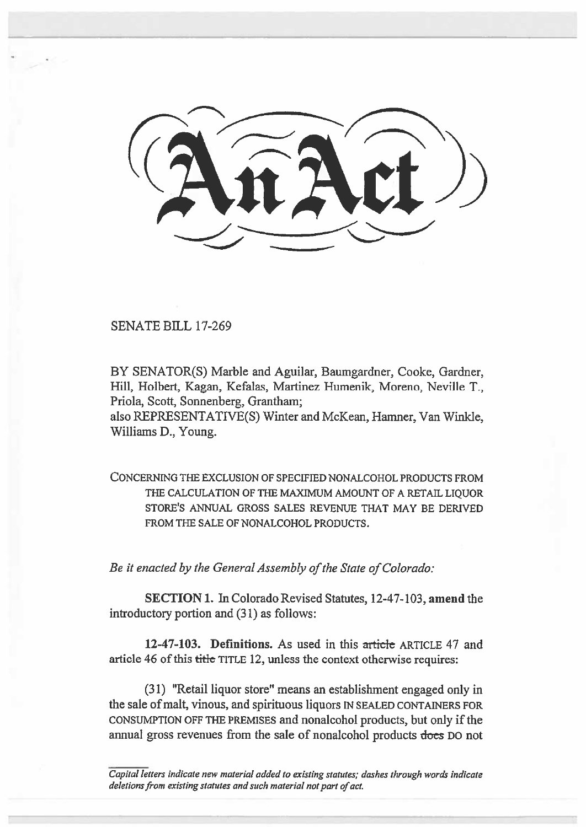SENATE BILL 17-269

BY SENATOR(S) Marble and Aguilar, Baumgardner, Cooke, Gardner, Hill, Holbert, Kagan, Kefalas, Martinez Humenik, Moreno, Neville T., Priola, Scott, Sonnenberg, Grantham;

also REPRESENTATIVE(S) Winter and McKean, Hamner, Van Winkle, Williams D., Young.

CONCERNING THE EXCLUSION OF SPECIFIED NONALCOHOL PRODUCTS FROM THE CALCULATION OF THE MAXIMUM AMOUNT OF A RETAIL LIOUOR STORE'S ANNUAL GROSS SALES REVENUE THAT MAY BE DERIVED FROM THE SALE OF NONALCOHOL PRODUCTS.

*Be it enacted by the General Assembly of the State of Colorado:* 

**SECTION 1.** In Colorado Revised Statutes, 12-47-103, **amend** the introductory portion and (31) as follows:

**12-47-103. Definitions.** As used in this article ARTICLE 47 and article 46 of this title TITLE 12, unless the context otherwise requires:

(31) "Retail liquor store" means an establishment engaged only in the sale of malt, vinous, and spirituous liquors IN SEALED CONTAINERS FOR CONSUMPTION OFF THE PREMISES and nonalcohol products, but only if the annual gross revenues from the sale of nonalcohol products does DO not

*Capital letters indicate new material added to existing statutes; dashes through words indicate deletions from existing statutes and such material not part of act.*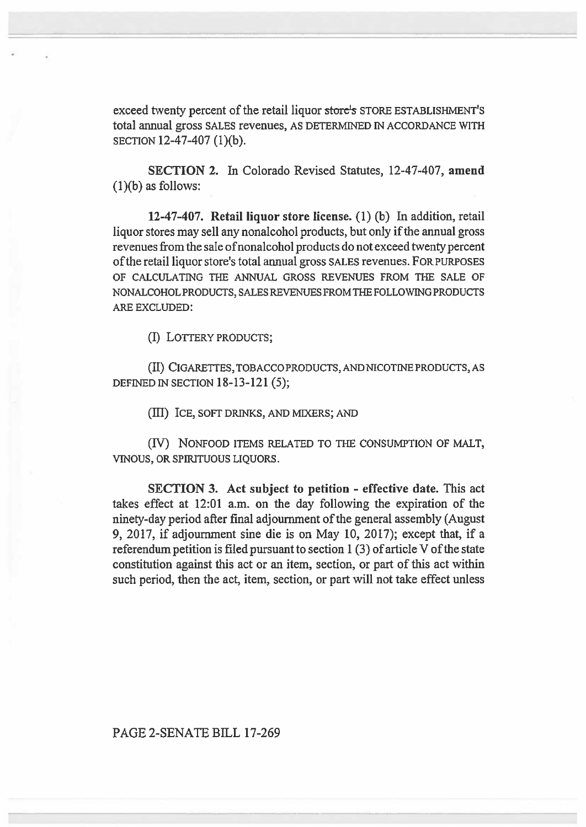exceed twenty percent of the retail liquor store's STORE ESTABLISHMENT'S total annual gross SALES revenues, AS DETERMINED IN ACCORDANCE WITH SECTION 12-47-407 (1)(b).

**SECTION 2. In** Colorado Revised Statutes, 12-47-407, **amend**  (1)(b) as follows:

**12-47-407. Retail liquor store license. (1) (b) In addition,** retail liquor stores may sell any nonalcohol products, but only if the annual gross revenues from the sale of nonalcohol products do not exceed twenty percent of the retail liquor store's total annual gross SALES revenues. FOR PURPOSES OF CALCULATING THE ANNUAL GROSS REVENUES FROM THE SALE OF NONALCOHOL PRODUCTS, SALES REVENUES FROM THE FOLLOWING PRODUCTS ARE EXCLUDED:

(I) LOFIERY PRODUCTS;

(II) CIGARETTES, TOBACCO PRODUCTS, AND NICOTINE PRODUCTS, AS DEFINED IN SECTION 18-13-121 (5);

(III) ICE, SOFT DRINKS, AND MIXERS; AND

**(IV)** NONFOOD ITEMS RELATED TO THE CONSUMPTION OF MALT, VINOUS, OR SPIRITUOUS LIQUORS.

**SECTION 3. Act subject to petition - effective date. This** act takes effect at 12:01 a.m. on the **day following the expiration of the ninety-day period after final adjournment of the general assembly (August 9, 2017, if adjournment sine die is on May 10, 2017); except that, if a referendum petition is filed pursuant to section 1 (3) of article V of the state constitution against this act or an item, section, or part of this act within such period, then the act, item, section, or part will not take effect unless** 

## **PAGE 2-SENATE BILL 17-269**